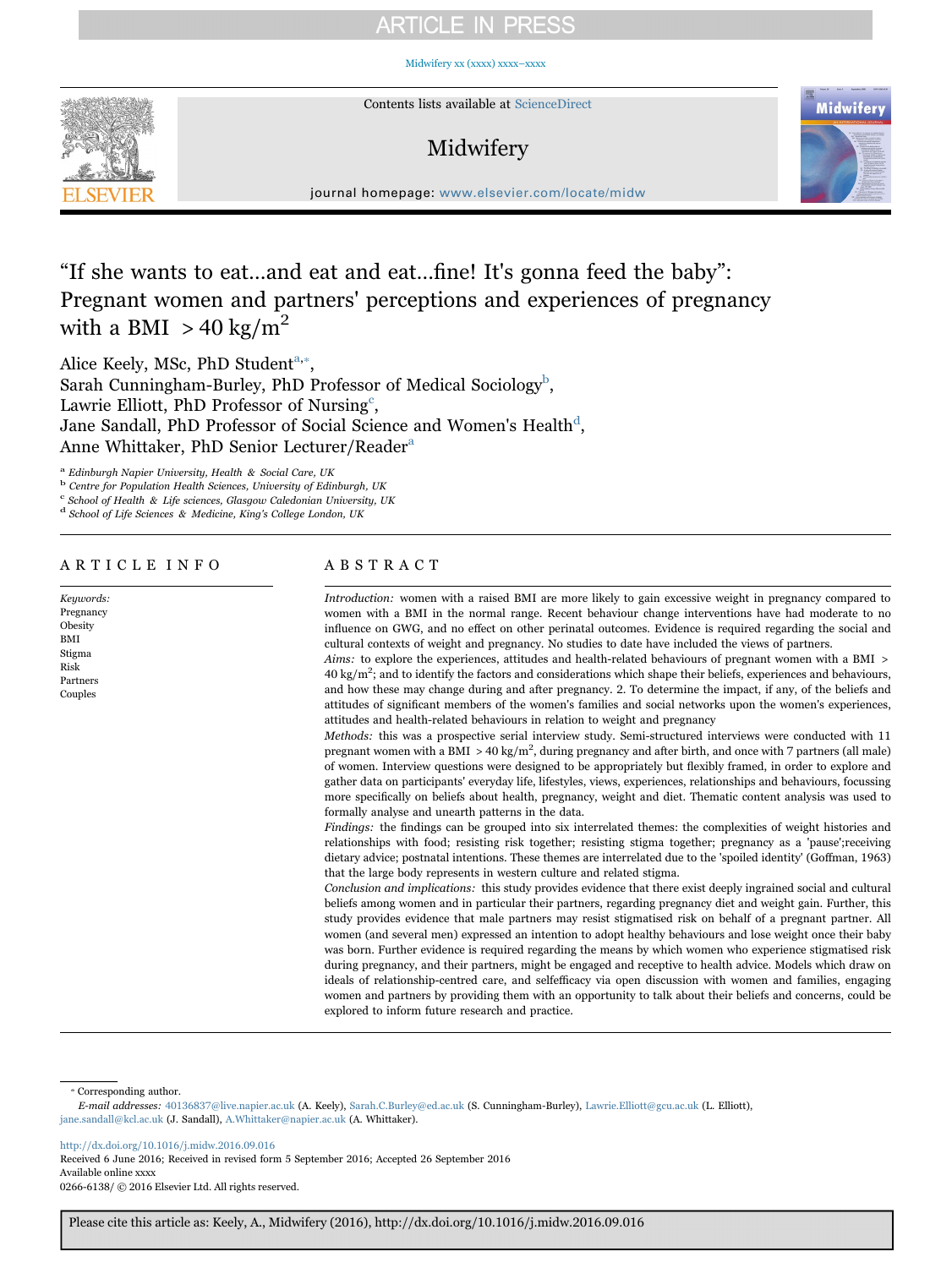[Midwifery xx \(xxxx\) xxxx–xxxx](http://dx.doi.org/10.1016/j.midw.2016.09.016)



Contents lists available at [ScienceDirect](http://www.sciencedirect.com/science/journal/02666138)

# Midwifery



journal homepage: [www.elsevier.com/locate/midw](http://www.elsevier.com/locate/midw)

# "If she wants to eat…and eat and eat…fine! It's gonna feed the baby": Pregnant women and partners' perceptions and experiences of pregnancy with a BMI  $> 40 \text{ kg/m}^2$

Alice Keely, MSc, PhD Student<sup>[a,](#page-0-0)\*</sup>, Sarah Cunningham-Burley, PhD Professor of Medical Sociology<sup>b</sup>, Lawrie Elliott, PhD Professor of Nursing<sup>[c](#page-0-3)</sup>, Jane San[d](#page-0-4)all, PhD Professor of Social Science and Women's Health<sup>d</sup>, Anne Whittaker, PhD Senior Lecturer/Reader<sup>a</sup>

<span id="page-0-0"></span><sup>a</sup> Edinburgh Napier University, Health & Social Care, UK

<span id="page-0-2"></span><sup>b</sup> Centre for Population Health Sciences, University of Edinburgh, UK <sup>c</sup> School of Health & Life sciences, Glasgow Caledonian University, UK

<span id="page-0-3"></span>

<span id="page-0-4"></span><sup>d</sup> School of Life Sciences & Medicine, King's College London, UK

### ARTICLE INFO

Keywords: Pregnancy Obesity BMI Stigma Risk Partners Couples

## ABSTRACT

Introduction: women with a raised BMI are more likely to gain excessive weight in pregnancy compared to women with a BMI in the normal range. Recent behaviour change interventions have had moderate to no influence on GWG, and no effect on other perinatal outcomes. Evidence is required regarding the social and cultural contexts of weight and pregnancy. No studies to date have included the views of partners.

Aims: to explore the experiences, attitudes and health-related behaviours of pregnant women with a BMI >  $40 \text{ kg/m}^2$ ; and to identify the factors and considerations which shape their beliefs, experiences and behaviours, and how these may change during and after pregnancy. 2. To determine the impact, if any, of the beliefs and attitudes of significant members of the women's families and social networks upon the women's experiences, attitudes and health-related behaviours in relation to weight and pregnancy

Methods: this was a prospective serial interview study. Semi-structured interviews were conducted with 11 pregnant women with a BMI  $> 40 \text{ kg/m}^2$ , during pregnancy and after birth, and once with 7 partners (all male) of women. Interview questions were designed to be appropriately but flexibly framed, in order to explore and gather data on participants' everyday life, lifestyles, views, experiences, relationships and behaviours, focussing more specifically on beliefs about health, pregnancy, weight and diet. Thematic content analysis was used to formally analyse and unearth patterns in the data.

Findings: the findings can be grouped into six interrelated themes: the complexities of weight histories and relationships with food; resisting risk together; resisting stigma together; pregnancy as a 'pause';receiving dietary advice; postnatal intentions. These themes are interrelated due to the 'spoiled identity' (Goffman, 1963) that the large body represents in western culture and related stigma.

Conclusion and implications: this study provides evidence that there exist deeply ingrained social and cultural beliefs among women and in particular their partners, regarding pregnancy diet and weight gain. Further, this study provides evidence that male partners may resist stigmatised risk on behalf of a pregnant partner. All women (and several men) expressed an intention to adopt healthy behaviours and lose weight once their baby was born. Further evidence is required regarding the means by which women who experience stigmatised risk during pregnancy, and their partners, might be engaged and receptive to health advice. Models which draw on ideals of relationship-centred care, and selfefficacy via open discussion with women and families, engaging women and partners by providing them with an opportunity to talk about their beliefs and concerns, could be explored to inform future research and practice.

<span id="page-0-1"></span>⁎ Corresponding author.

E-mail addresses: 40136837@live.napier.ac.uk (A. Keely), Sarah.C.Burley@ed.ac.uk (S. Cunningham-Burley), Lawrie.Elliott@gcu.ac.uk (L. Elliott), jane.sandall@kcl.ac.uk (J. Sandall), A.Whittaker@napier.ac.uk (A. Whittaker).

<http://dx.doi.org/10.1016/j.midw.2016.09.016>

Received 6 June 2016; Received in revised form 5 September 2016; Accepted 26 September 2016 Available online xxxx

0266-6138/ © 2016 Elsevier Ltd. All rights reserved.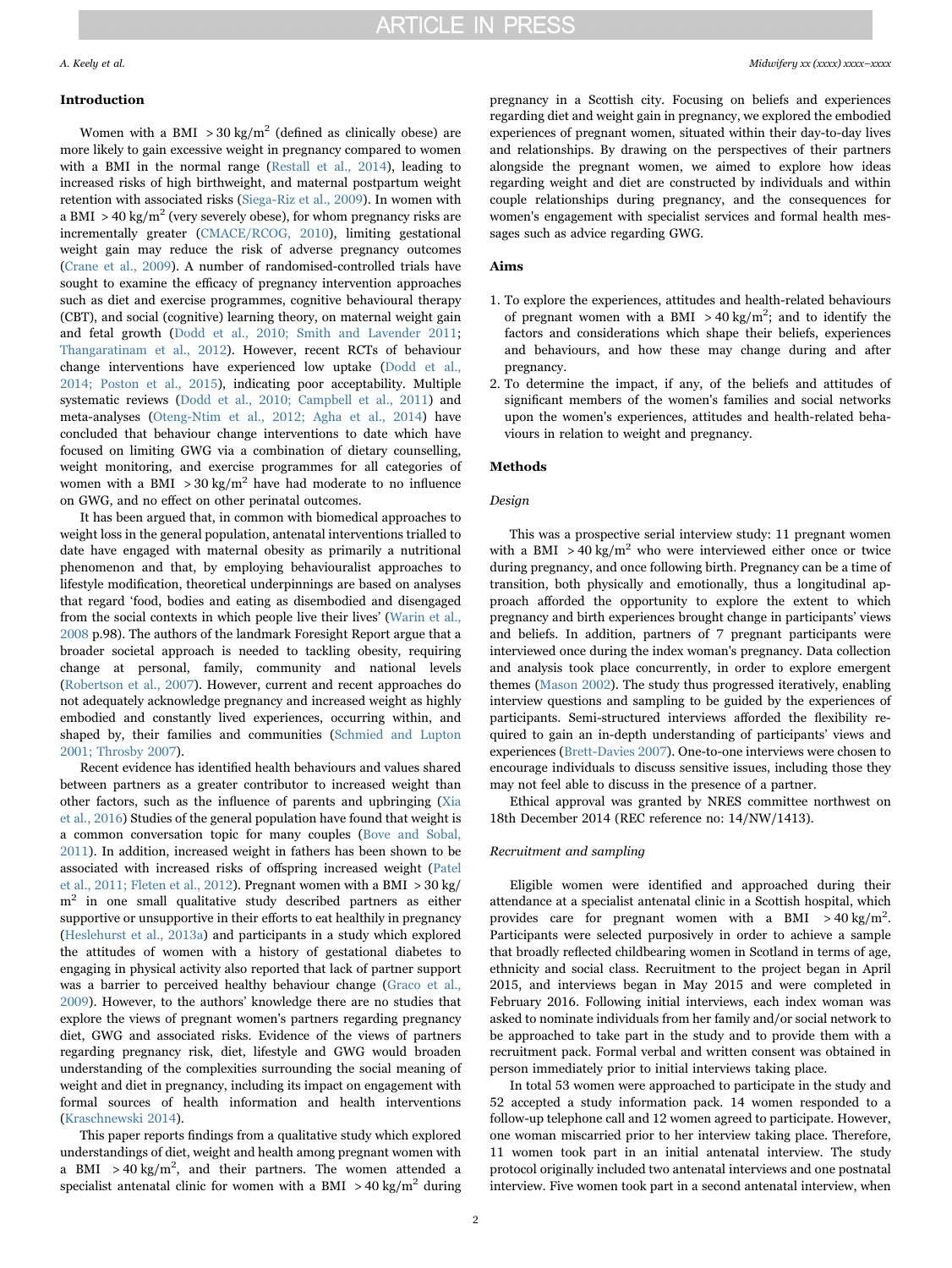#### Introduction

Women with a BMI  $>$  30 kg/m<sup>2</sup> (defined as clinically obese) are more likely to gain excessive weight in pregnancy compared to women with a BMI in the normal range ([Restall et al., 2014](#page-6-0)), leading to increased risks of high birthweight, and maternal postpartum weight retention with associated risks [\(Siega-Riz et al., 2009](#page-7-0)). In women with a BMI  $> 40 \text{ kg/m}^2$  (very severely obese), for whom pregnancy risks are incrementally greater ([CMACE/RCOG, 2010\)](#page-6-1), limiting gestational weight gain may reduce the risk of adverse pregnancy outcomes ([Crane et al., 2009](#page-6-2)). A number of randomised-controlled trials have sought to examine the efficacy of pregnancy intervention approaches such as diet and exercise programmes, cognitive behavioural therapy (CBT), and social (cognitive) learning theory, on maternal weight gain and fetal growth [\(Dodd et al., 2010; Smith and Lavender 2011](#page-6-3); [Thangaratinam et al., 2012\)](#page-7-1). However, recent RCTs of behaviour change interventions have experienced low uptake ([Dodd et al.,](#page-6-4) [2014; Poston et al., 2015](#page-6-4)), indicating poor acceptability. Multiple systematic reviews ([Dodd et al., 2010; Campbell et al., 2011](#page-6-5)) and meta-analyses ([Oteng-Ntim et al., 2012; Agha et al., 2014](#page-6-6)) have concluded that behaviour change interventions to date which have focused on limiting GWG via a combination of dietary counselling, weight monitoring, and exercise programmes for all categories of women with a BMI  $>$  30 kg/m<sup>2</sup> have had moderate to no influence on GWG, and no effect on other perinatal outcomes.

It has been argued that, in common with biomedical approaches to weight loss in the general population, antenatal interventions trialled to date have engaged with maternal obesity as primarily a nutritional phenomenon and that, by employing behaviouralist approaches to lifestyle modification, theoretical underpinnings are based on analyses that regard 'food, bodies and eating as disembodied and disengaged from the social contexts in which people live their lives' ([Warin et al.,](#page-7-2) [2008](#page-7-2) p.98). The authors of the landmark Foresight Report argue that a broader societal approach is needed to tackling obesity, requiring change at personal, family, community and national levels ([Robertson et al., 2007](#page-7-3)). However, current and recent approaches do not adequately acknowledge pregnancy and increased weight as highly embodied and constantly lived experiences, occurring within, and shaped by, their families and communities [\(Schmied and Lupton](#page-7-4) [2001; Throsby 2007](#page-7-4)).

Recent evidence has identified health behaviours and values shared between partners as a greater contributor to increased weight than other factors, such as the influence of parents and upbringing ([Xia](#page-7-5) [et al., 2016\)](#page-7-5) Studies of the general population have found that weight is a common conversation topic for many couples [\(Bove and Sobal,](#page-6-7) [2011\)](#page-6-7). In addition, increased weight in fathers has been shown to be associated with increased risks of offspring increased weight ([Patel](#page-6-8) [et al., 2011; Fleten et al., 2012\)](#page-6-8). Pregnant women with a BMI > 30 kg/ m<sup>2</sup> in one small qualitative study described partners as either supportive or unsupportive in their efforts to eat healthily in pregnancy ([Heslehurst et al., 2013a](#page-6-9)) and participants in a study which explored the attitudes of women with a history of gestational diabetes to engaging in physical activity also reported that lack of partner support was a barrier to perceived healthy behaviour change [\(Graco et al.,](#page-6-10) [2009\)](#page-6-10). However, to the authors' knowledge there are no studies that explore the views of pregnant women's partners regarding pregnancy diet, GWG and associated risks. Evidence of the views of partners regarding pregnancy risk, diet, lifestyle and GWG would broaden understanding of the complexities surrounding the social meaning of weight and diet in pregnancy, including its impact on engagement with formal sources of health information and health interventions ([Kraschnewski 2014](#page-6-11)).

This paper reports findings from a qualitative study which explored understandings of diet, weight and health among pregnant women with a BMI  $> 40 \text{ kg/m}^2$ , and their partners. The women attended a specialist antenatal clinic for women with a BMI  $> 40 \text{ kg/m}^2$  during

pregnancy in a Scottish city. Focusing on beliefs and experiences regarding diet and weight gain in pregnancy, we explored the embodied experiences of pregnant women, situated within their day-to-day lives and relationships. By drawing on the perspectives of their partners alongside the pregnant women, we aimed to explore how ideas regarding weight and diet are constructed by individuals and within couple relationships during pregnancy, and the consequences for women's engagement with specialist services and formal health messages such as advice regarding GWG.

#### Aims

- 1. To explore the experiences, attitudes and health-related behaviours of pregnant women with a BMI  $> 40 \text{ kg/m}^2$ ; and to identify the factors and considerations which shape their beliefs, experiences and behaviours, and how these may change during and after pregnancy.
- 2. To determine the impact, if any, of the beliefs and attitudes of significant members of the women's families and social networks upon the women's experiences, attitudes and health-related behaviours in relation to weight and pregnancy.

#### Methods

#### Design

This was a prospective serial interview study: 11 pregnant women with a BMI  $> 40 \text{ kg/m}^2$  who were interviewed either once or twice during pregnancy, and once following birth. Pregnancy can be a time of transition, both physically and emotionally, thus a longitudinal approach afforded the opportunity to explore the extent to which pregnancy and birth experiences brought change in participants' views and beliefs. In addition, partners of 7 pregnant participants were interviewed once during the index woman's pregnancy. Data collection and analysis took place concurrently, in order to explore emergent themes ([Mason 2002](#page-6-12)). The study thus progressed iteratively, enabling interview questions and sampling to be guided by the experiences of participants. Semi-structured interviews afforded the flexibility required to gain an in-depth understanding of participants' views and experiences ([Brett-Davies 2007](#page-6-13)). One-to-one interviews were chosen to encourage individuals to discuss sensitive issues, including those they may not feel able to discuss in the presence of a partner.

Ethical approval was granted by NRES committee northwest on 18th December 2014 (REC reference no: 14/NW/1413).

#### Recruitment and sampling

Eligible women were identified and approached during their attendance at a specialist antenatal clinic in a Scottish hospital, which provides care for pregnant women with a BMI >  $40 \text{ kg/m}^2$ . Participants were selected purposively in order to achieve a sample that broadly reflected childbearing women in Scotland in terms of age, ethnicity and social class. Recruitment to the project began in April 2015, and interviews began in May 2015 and were completed in February 2016. Following initial interviews, each index woman was asked to nominate individuals from her family and/or social network to be approached to take part in the study and to provide them with a recruitment pack. Formal verbal and written consent was obtained in person immediately prior to initial interviews taking place.

In total 53 women were approached to participate in the study and 52 accepted a study information pack. 14 women responded to a follow-up telephone call and 12 women agreed to participate. However, one woman miscarried prior to her interview taking place. Therefore, 11 women took part in an initial antenatal interview. The study protocol originally included two antenatal interviews and one postnatal interview. Five women took part in a second antenatal interview, when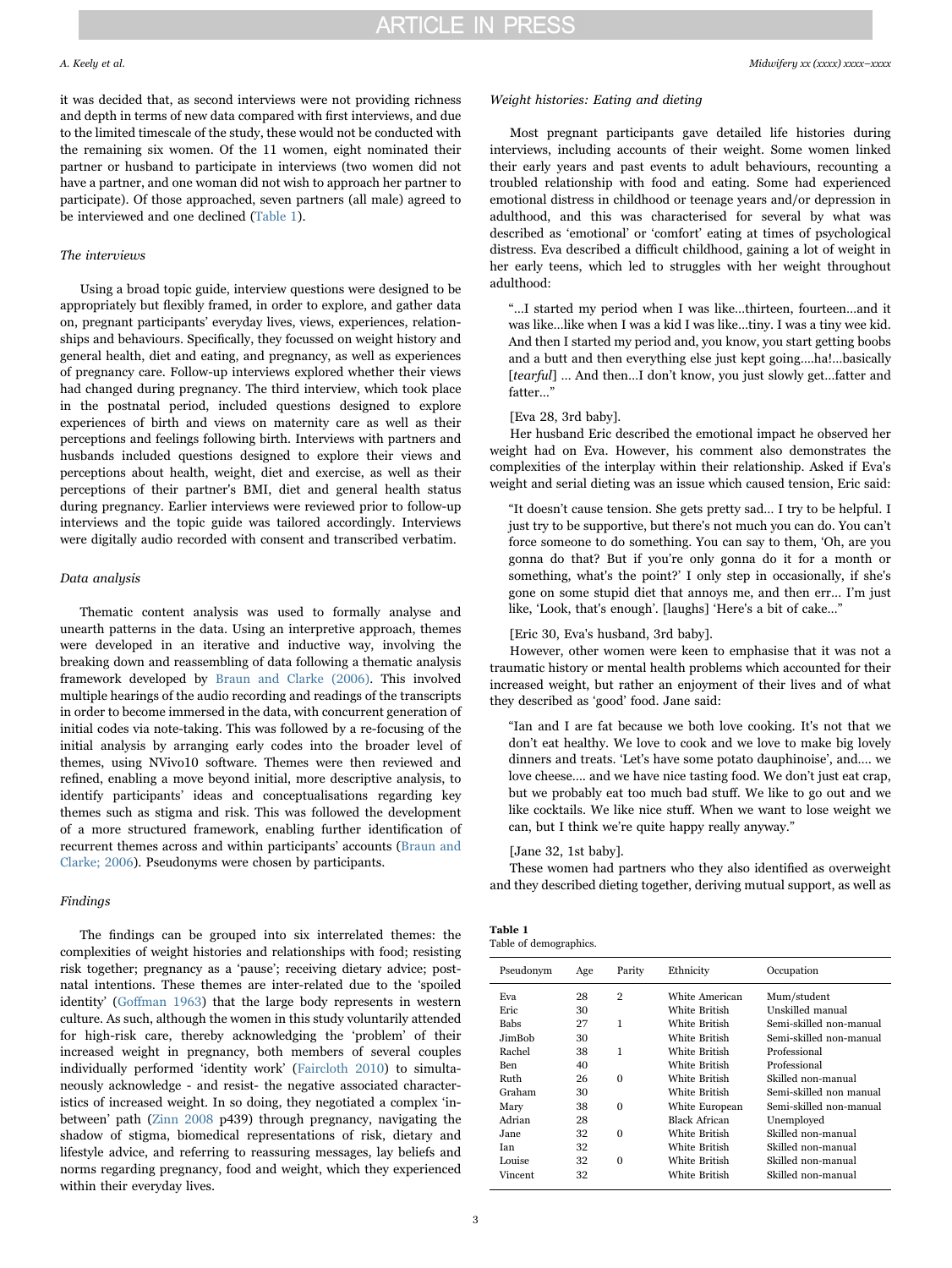it was decided that, as second interviews were not providing richness and depth in terms of new data compared with first interviews, and due to the limited timescale of the study, these would not be conducted with the remaining six women. Of the 11 women, eight nominated their partner or husband to participate in interviews (two women did not have a partner, and one woman did not wish to approach her partner to participate). Of those approached, seven partners (all male) agreed to be interviewed and one declined [\(Table 1](#page-2-0)).

#### The interviews

Using a broad topic guide, interview questions were designed to be appropriately but flexibly framed, in order to explore, and gather data on, pregnant participants' everyday lives, views, experiences, relationships and behaviours. Specifically, they focussed on weight history and general health, diet and eating, and pregnancy, as well as experiences of pregnancy care. Follow-up interviews explored whether their views had changed during pregnancy. The third interview, which took place in the postnatal period, included questions designed to explore experiences of birth and views on maternity care as well as their perceptions and feelings following birth. Interviews with partners and husbands included questions designed to explore their views and perceptions about health, weight, diet and exercise, as well as their perceptions of their partner's BMI, diet and general health status during pregnancy. Earlier interviews were reviewed prior to follow-up interviews and the topic guide was tailored accordingly. Interviews were digitally audio recorded with consent and transcribed verbatim.

#### Data analysis

Thematic content analysis was used to formally analyse and unearth patterns in the data. Using an interpretive approach, themes were developed in an iterative and inductive way, involving the breaking down and reassembling of data following a thematic analysis framework developed by [Braun and Clarke \(2006\)](#page-6-14). This involved multiple hearings of the audio recording and readings of the transcripts in order to become immersed in the data, with concurrent generation of initial codes via note-taking. This was followed by a re-focusing of the initial analysis by arranging early codes into the broader level of themes, using NVivo10 software. Themes were then reviewed and refined, enabling a move beyond initial, more descriptive analysis, to identify participants' ideas and conceptualisations regarding key themes such as stigma and risk. This was followed the development of a more structured framework, enabling further identification of recurrent themes across and within participants' accounts ([Braun and](#page-6-14) [Clarke; 2006\)](#page-6-14). Pseudonyms were chosen by participants.

#### Findings

The findings can be grouped into six interrelated themes: the complexities of weight histories and relationships with food; resisting risk together; pregnancy as a 'pause'; receiving dietary advice; postnatal intentions. These themes are inter-related due to the 'spoiled identity' (Goff[man 1963](#page-6-15)) that the large body represents in western culture. As such, although the women in this study voluntarily attended for high-risk care, thereby acknowledging the 'problem' of their increased weight in pregnancy, both members of several couples individually performed 'identity work' [\(Faircloth 2010](#page-6-16)) to simultaneously acknowledge - and resist- the negative associated characteristics of increased weight. In so doing, they negotiated a complex 'inbetween' path [\(Zinn 2008](#page-7-6) p439) through pregnancy, navigating the shadow of stigma, biomedical representations of risk, dietary and lifestyle advice, and referring to reassuring messages, lay beliefs and norms regarding pregnancy, food and weight, which they experienced within their everyday lives.

#### Weight histories: Eating and dieting

Most pregnant participants gave detailed life histories during interviews, including accounts of their weight. Some women linked their early years and past events to adult behaviours, recounting a troubled relationship with food and eating. Some had experienced emotional distress in childhood or teenage years and/or depression in adulthood, and this was characterised for several by what was described as 'emotional' or 'comfort' eating at times of psychological distress. Eva described a difficult childhood, gaining a lot of weight in her early teens, which led to struggles with her weight throughout adulthood:

"…I started my period when I was like…thirteen, fourteen…and it was like…like when I was a kid I was like…tiny. I was a tiny wee kid. And then I started my period and, you know, you start getting boobs and a butt and then everything else just kept going….ha!…basically [tearful] ... And then...I don't know, you just slowly get...fatter and fatter…"

#### [Eva 28, 3rd baby].

Her husband Eric described the emotional impact he observed her weight had on Eva. However, his comment also demonstrates the complexities of the interplay within their relationship. Asked if Eva's weight and serial dieting was an issue which caused tension, Eric said:

"It doesn't cause tension. She gets pretty sad… I try to be helpful. I just try to be supportive, but there's not much you can do. You can't force someone to do something. You can say to them, 'Oh, are you gonna do that? But if you're only gonna do it for a month or something, what's the point?' I only step in occasionally, if she's gone on some stupid diet that annoys me, and then err… I'm just like, 'Look, that's enough'. [laughs] 'Here's a bit of cake…"

#### [Eric 30, Eva's husband, 3rd baby].

However, other women were keen to emphasise that it was not a traumatic history or mental health problems which accounted for their increased weight, but rather an enjoyment of their lives and of what they described as 'good' food. Jane said:

"Ian and I are fat because we both love cooking. It's not that we don't eat healthy. We love to cook and we love to make big lovely dinners and treats. 'Let's have some potato dauphinoise', and…. we love cheese…. and we have nice tasting food. We don't just eat crap, but we probably eat too much bad stuff. We like to go out and we like cocktails. We like nice stuff. When we want to lose weight we can, but I think we're quite happy really anyway."

#### [Jane 32, 1st baby].

These women had partners who they also identified as overweight and they described dieting together, deriving mutual support, as well as

<span id="page-2-0"></span>

| Table 1 |                        |
|---------|------------------------|
|         | Table of demographics. |

| Pseudonym   | Age | Parity   | Ethnicity      | Occupation              |
|-------------|-----|----------|----------------|-------------------------|
| Eva         | 28  | 2        | White American | Mum/student             |
| Eric        | 30  |          | White British  | Unskilled manual        |
| <b>Babs</b> | 27  | 1        | White British  | Semi-skilled non-manual |
| JimBob.     | 30  |          | White British  | Semi-skilled non-manual |
| Rachel      | 38  | 1        | White British  | Professional            |
| Ben         | 40  |          | White British  | Professional            |
| Ruth        | 26  | $\Omega$ | White British  | Skilled non-manual      |
| Graham      | 30  |          | White British  | Semi-skilled non manual |
| Mary        | 38  | $\Omega$ | White European | Semi-skilled non-manual |
| Adrian      | 28  |          | Black African  | Unemployed              |
| Jane.       | 32  | $\Omega$ | White British  | Skilled non-manual      |
| Ian         | 32  |          | White British  | Skilled non-manual      |
| Louise      | 32  | $\Omega$ | White British  | Skilled non-manual      |
| Vincent     | 32  |          | White British  | Skilled non-manual      |
|             |     |          |                |                         |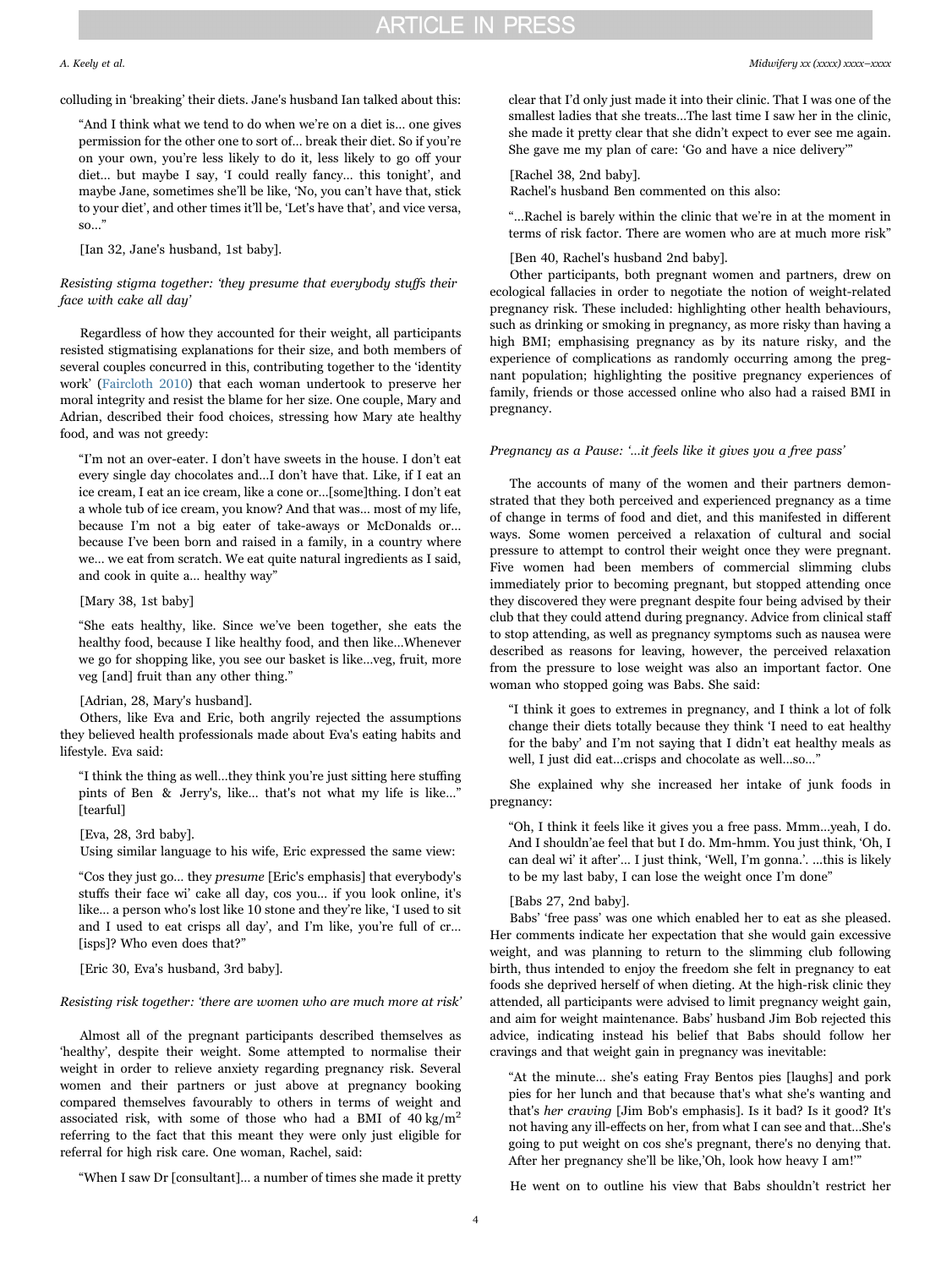A. Keely et al. *Midwifery xx (xxxx) xxxx–xxxx*

colluding in 'breaking' their diets. Jane's husband Ian talked about this:

"And I think what we tend to do when we're on a diet is… one gives permission for the other one to sort of… break their diet. So if you're on your own, you're less likely to do it, less likely to go off your diet… but maybe I say, 'I could really fancy… this tonight', and maybe Jane, sometimes she'll be like, 'No, you can't have that, stick to your diet', and other times it'll be, 'Let's have that', and vice versa, so…"

[Ian 32, Jane's husband, 1st baby].

### Resisting stigma together: 'they presume that everybody stuffs their face with cake all day'

Regardless of how they accounted for their weight, all participants resisted stigmatising explanations for their size, and both members of several couples concurred in this, contributing together to the 'identity work' ([Faircloth 2010\)](#page-6-16) that each woman undertook to preserve her moral integrity and resist the blame for her size. One couple, Mary and Adrian, described their food choices, stressing how Mary ate healthy food, and was not greedy:

"I'm not an over-eater. I don't have sweets in the house. I don't eat every single day chocolates and…I don't have that. Like, if I eat an ice cream, I eat an ice cream, like a cone or…[some]thing. I don't eat a whole tub of ice cream, you know? And that was… most of my life, because I'm not a big eater of take-aways or McDonalds or… because I've been born and raised in a family, in a country where we… we eat from scratch. We eat quite natural ingredients as I said, and cook in quite a… healthy way"

### [Mary 38, 1st baby]

"She eats healthy, like. Since we've been together, she eats the healthy food, because I like healthy food, and then like…Whenever we go for shopping like, you see our basket is like…veg, fruit, more veg [and] fruit than any other thing."

#### [Adrian, 28, Mary's husband].

Others, like Eva and Eric, both angrily rejected the assumptions they believed health professionals made about Eva's eating habits and lifestyle. Eva said:

"I think the thing as well…they think you're just sitting here stuffing pints of Ben & Jerry's, like… that's not what my life is like…" [tearful]

### [Eva, 28, 3rd baby].

Using similar language to his wife, Eric expressed the same view:

"Cos they just go… they presume [Eric's emphasis] that everybody's stuffs their face wi' cake all day, cos you… if you look online, it's like… a person who's lost like 10 stone and they're like, 'I used to sit and I used to eat crisps all day', and I'm like, you're full of cr… [isps]? Who even does that?"

[Eric 30, Eva's husband, 3rd baby].

### Resisting risk together: 'there are women who are much more at risk'

Almost all of the pregnant participants described themselves as 'healthy', despite their weight. Some attempted to normalise their weight in order to relieve anxiety regarding pregnancy risk. Several women and their partners or just above at pregnancy booking compared themselves favourably to others in terms of weight and associated risk, with some of those who had a BMI of  $40 \text{ kg/m}^2$ referring to the fact that this meant they were only just eligible for referral for high risk care. One woman, Rachel, said:

"When I saw Dr [consultant]… a number of times she made it pretty

clear that I'd only just made it into their clinic. That I was one of the smallest ladies that she treats…The last time I saw her in the clinic, she made it pretty clear that she didn't expect to ever see me again. She gave me my plan of care: 'Go and have a nice delivery'"

#### [Rachel 38, 2nd baby].

Rachel's husband Ben commented on this also:

"…Rachel is barely within the clinic that we're in at the moment in terms of risk factor. There are women who are at much more risk"

[Ben 40, Rachel's husband 2nd baby].

Other participants, both pregnant women and partners, drew on ecological fallacies in order to negotiate the notion of weight-related pregnancy risk. These included: highlighting other health behaviours, such as drinking or smoking in pregnancy, as more risky than having a high BMI; emphasising pregnancy as by its nature risky, and the experience of complications as randomly occurring among the pregnant population; highlighting the positive pregnancy experiences of family, friends or those accessed online who also had a raised BMI in pregnancy.

### Pregnancy as a Pause: '…it feels like it gives you a free pass'

The accounts of many of the women and their partners demonstrated that they both perceived and experienced pregnancy as a time of change in terms of food and diet, and this manifested in different ways. Some women perceived a relaxation of cultural and social pressure to attempt to control their weight once they were pregnant. Five women had been members of commercial slimming clubs immediately prior to becoming pregnant, but stopped attending once they discovered they were pregnant despite four being advised by their club that they could attend during pregnancy. Advice from clinical staff to stop attending, as well as pregnancy symptoms such as nausea were described as reasons for leaving, however, the perceived relaxation from the pressure to lose weight was also an important factor. One woman who stopped going was Babs. She said:

"I think it goes to extremes in pregnancy, and I think a lot of folk change their diets totally because they think 'I need to eat healthy for the baby' and I'm not saying that I didn't eat healthy meals as well, I just did eat…crisps and chocolate as well…so…"

She explained why she increased her intake of junk foods in pregnancy:

"Oh, I think it feels like it gives you a free pass. Mmm…yeah, I do. And I shouldn'ae feel that but I do. Mm-hmm. You just think, 'Oh, I can deal wi' it after'… I just think, 'Well, I'm gonna.'. ...this is likely to be my last baby, I can lose the weight once I'm done"

#### [Babs 27, 2nd baby].

Babs' 'free pass' was one which enabled her to eat as she pleased. Her comments indicate her expectation that she would gain excessive weight, and was planning to return to the slimming club following birth, thus intended to enjoy the freedom she felt in pregnancy to eat foods she deprived herself of when dieting. At the high-risk clinic they attended, all participants were advised to limit pregnancy weight gain, and aim for weight maintenance. Babs' husband Jim Bob rejected this advice, indicating instead his belief that Babs should follow her cravings and that weight gain in pregnancy was inevitable:

"At the minute… she's eating Fray Bentos pies [laughs] and pork pies for her lunch and that because that's what she's wanting and that's her craving [Jim Bob's emphasis]. Is it bad? Is it good? It's not having any ill-effects on her, from what I can see and that…She's going to put weight on cos she's pregnant, there's no denying that. After her pregnancy she'll be like,'Oh, look how heavy I am!'"

He went on to outline his view that Babs shouldn't restrict her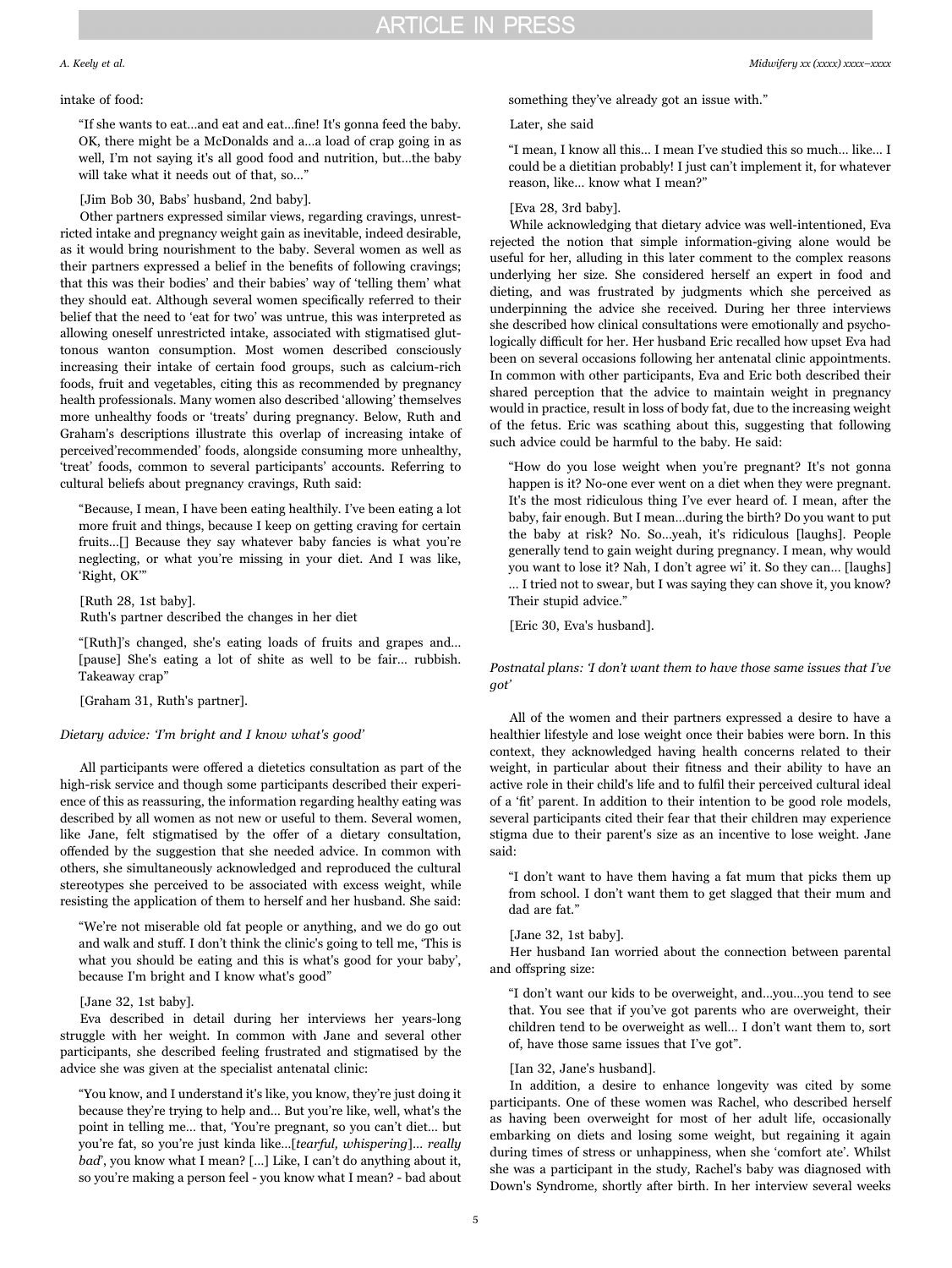#### intake of food:

"If she wants to eat…and eat and eat…fine! It's gonna feed the baby. OK, there might be a McDonalds and a…a load of crap going in as well, I'm not saying it's all good food and nutrition, but…the baby will take what it needs out of that, so…"

[Jim Bob 30, Babs' husband, 2nd baby].

Other partners expressed similar views, regarding cravings, unrestricted intake and pregnancy weight gain as inevitable, indeed desirable, as it would bring nourishment to the baby. Several women as well as their partners expressed a belief in the benefits of following cravings; that this was their bodies' and their babies' way of 'telling them' what they should eat. Although several women specifically referred to their belief that the need to 'eat for two' was untrue, this was interpreted as allowing oneself unrestricted intake, associated with stigmatised gluttonous wanton consumption. Most women described consciously increasing their intake of certain food groups, such as calcium-rich foods, fruit and vegetables, citing this as recommended by pregnancy health professionals. Many women also described 'allowing' themselves more unhealthy foods or 'treats' during pregnancy. Below, Ruth and Graham's descriptions illustrate this overlap of increasing intake of perceived'recommended' foods, alongside consuming more unhealthy, 'treat' foods, common to several participants' accounts. Referring to cultural beliefs about pregnancy cravings, Ruth said:

"Because, I mean, I have been eating healthily. I've been eating a lot more fruit and things, because I keep on getting craving for certain fruits…[] Because they say whatever baby fancies is what you're neglecting, or what you're missing in your diet. And I was like, 'Right, OK'"

[Ruth 28, 1st baby].

Ruth's partner described the changes in her diet

"[Ruth]'s changed, she's eating loads of fruits and grapes and… [pause] She's eating a lot of shite as well to be fair… rubbish. Takeaway crap"

[Graham 31, Ruth's partner].

#### Dietary advice: 'I'm bright and I know what's good'

All participants were offered a dietetics consultation as part of the high-risk service and though some participants described their experience of this as reassuring, the information regarding healthy eating was described by all women as not new or useful to them. Several women, like Jane, felt stigmatised by the offer of a dietary consultation, offended by the suggestion that she needed advice. In common with others, she simultaneously acknowledged and reproduced the cultural stereotypes she perceived to be associated with excess weight, while resisting the application of them to herself and her husband. She said:

"We're not miserable old fat people or anything, and we do go out and walk and stuff. I don't think the clinic's going to tell me, 'This is what you should be eating and this is what's good for your baby', because I'm bright and I know what's good"

[Jane 32, 1st baby].

Eva described in detail during her interviews her years-long struggle with her weight. In common with Jane and several other participants, she described feeling frustrated and stigmatised by the advice she was given at the specialist antenatal clinic:

"You know, and I understand it's like, you know, they're just doing it because they're trying to help and… But you're like, well, what's the point in telling me… that, 'You're pregnant, so you can't diet… but you're fat, so you're just kinda like…[tearful, whispering]… really bad', you know what I mean? […] Like, I can't do anything about it, so you're making a person feel - you know what I mean? - bad about

something they've already got an issue with."

Later, she said

"I mean, I know all this… I mean I've studied this so much… like… I could be a dietitian probably! I just can't implement it, for whatever reason, like… know what I mean?"

#### [Eva 28, 3rd baby].

While acknowledging that dietary advice was well-intentioned, Eva rejected the notion that simple information-giving alone would be useful for her, alluding in this later comment to the complex reasons underlying her size. She considered herself an expert in food and dieting, and was frustrated by judgments which she perceived as underpinning the advice she received. During her three interviews she described how clinical consultations were emotionally and psychologically difficult for her. Her husband Eric recalled how upset Eva had been on several occasions following her antenatal clinic appointments. In common with other participants, Eva and Eric both described their shared perception that the advice to maintain weight in pregnancy would in practice, result in loss of body fat, due to the increasing weight of the fetus. Eric was scathing about this, suggesting that following such advice could be harmful to the baby. He said:

"How do you lose weight when you're pregnant? It's not gonna happen is it? No-one ever went on a diet when they were pregnant. It's the most ridiculous thing I've ever heard of. I mean, after the baby, fair enough. But I mean…during the birth? Do you want to put the baby at risk? No. So…yeah, it's ridiculous [laughs]. People generally tend to gain weight during pregnancy. I mean, why would you want to lose it? Nah, I don't agree wi' it. So they can… [laughs] … I tried not to swear, but I was saying they can shove it, you know? Their stupid advice."

[Eric 30, Eva's husband].

Postnatal plans: 'I don't want them to have those same issues that I've got'

All of the women and their partners expressed a desire to have a healthier lifestyle and lose weight once their babies were born. In this context, they acknowledged having health concerns related to their weight, in particular about their fitness and their ability to have an active role in their child's life and to fulfil their perceived cultural ideal of a 'fit' parent. In addition to their intention to be good role models, several participants cited their fear that their children may experience stigma due to their parent's size as an incentive to lose weight. Jane said:

"I don't want to have them having a fat mum that picks them up from school. I don't want them to get slagged that their mum and dad are fat."

[Jane 32, 1st baby].

Her husband Ian worried about the connection between parental and offspring size:

"I don't want our kids to be overweight, and…you…you tend to see that. You see that if you've got parents who are overweight, their children tend to be overweight as well… I don't want them to, sort of, have those same issues that I've got".

### [Ian 32, Jane's husband].

In addition, a desire to enhance longevity was cited by some participants. One of these women was Rachel, who described herself as having been overweight for most of her adult life, occasionally embarking on diets and losing some weight, but regaining it again during times of stress or unhappiness, when she 'comfort ate'. Whilst she was a participant in the study, Rachel's baby was diagnosed with Down's Syndrome, shortly after birth. In her interview several weeks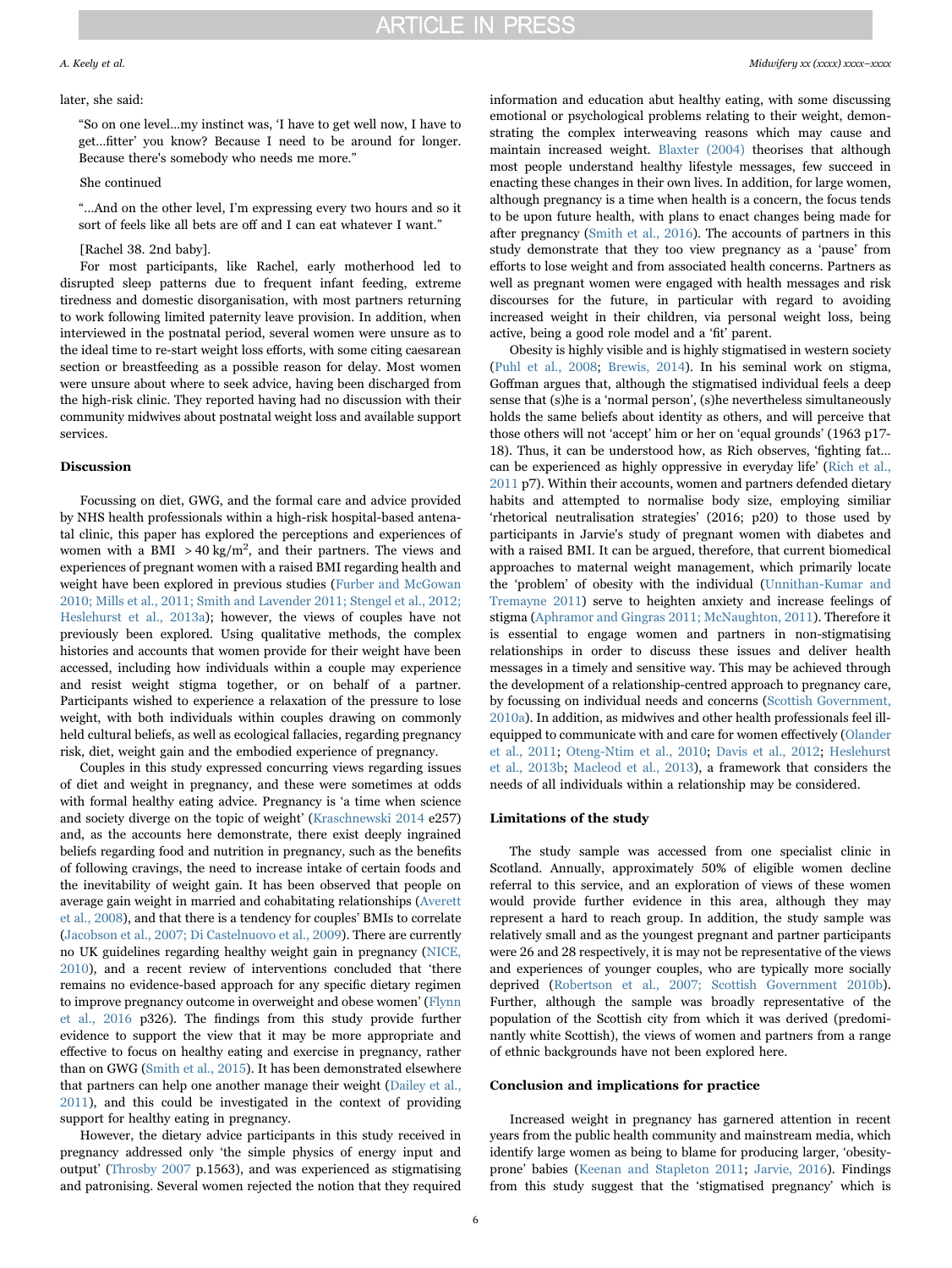#### later, she said:

"So on one level…my instinct was, 'I have to get well now, I have to get…fitter' you know? Because I need to be around for longer. Because there's somebody who needs me more."

#### She continued

"…And on the other level, I'm expressing every two hours and so it sort of feels like all bets are off and I can eat whatever I want."

[Rachel 38. 2nd baby].

For most participants, like Rachel, early motherhood led to disrupted sleep patterns due to frequent infant feeding, extreme tiredness and domestic disorganisation, with most partners returning to work following limited paternity leave provision. In addition, when interviewed in the postnatal period, several women were unsure as to the ideal time to re-start weight loss efforts, with some citing caesarean section or breastfeeding as a possible reason for delay. Most women were unsure about where to seek advice, having been discharged from the high-risk clinic. They reported having had no discussion with their community midwives about postnatal weight loss and available support services.

#### Discussion

Focussing on diet, GWG, and the formal care and advice provided by NHS health professionals within a high-risk hospital-based antenatal clinic, this paper has explored the perceptions and experiences of women with a BMI  $> 40 \text{ kg/m}^2$ , and their partners. The views and experiences of pregnant women with a raised BMI regarding health and weight have been explored in previous studies ([Furber and McGowan](#page-6-17) [2010; Mills et al., 2011; Smith and Lavender 2011; Stengel et al., 2012;](#page-6-17) [Heslehurst et al., 2013a](#page-6-17)); however, the views of couples have not previously been explored. Using qualitative methods, the complex histories and accounts that women provide for their weight have been accessed, including how individuals within a couple may experience and resist weight stigma together, or on behalf of a partner. Participants wished to experience a relaxation of the pressure to lose weight, with both individuals within couples drawing on commonly held cultural beliefs, as well as ecological fallacies, regarding pregnancy risk, diet, weight gain and the embodied experience of pregnancy.

Couples in this study expressed concurring views regarding issues of diet and weight in pregnancy, and these were sometimes at odds with formal healthy eating advice. Pregnancy is 'a time when science and society diverge on the topic of weight' ([Kraschnewski 2014](#page-6-11) e257) and, as the accounts here demonstrate, there exist deeply ingrained beliefs regarding food and nutrition in pregnancy, such as the benefits of following cravings, the need to increase intake of certain foods and the inevitability of weight gain. It has been observed that people on average gain weight in married and cohabitating relationships ([Averett](#page-6-18) [et al., 2008\)](#page-6-18), and that there is a tendency for couples' BMIs to correlate ([Jacobson et al., 2007; Di Castelnuovo et al., 2009\)](#page-6-19). There are currently no UK guidelines regarding healthy weight gain in pregnancy ([NICE,](#page-6-20) [2010\)](#page-6-20), and a recent review of interventions concluded that 'there remains no evidence-based approach for any specific dietary regimen to improve pregnancy outcome in overweight and obese women' [\(Flynn](#page-6-21) [et al., 2016](#page-6-21) p326). The findings from this study provide further evidence to support the view that it may be more appropriate and effective to focus on healthy eating and exercise in pregnancy, rather than on GWG [\(Smith et al., 2015](#page-7-7)). It has been demonstrated elsewhere that partners can help one another manage their weight ([Dailey et al.,](#page-6-22) [2011\)](#page-6-22), and this could be investigated in the context of providing support for healthy eating in pregnancy.

However, the dietary advice participants in this study received in pregnancy addressed only 'the simple physics of energy input and output' [\(Throsby 2007](#page-7-4) p.1563), and was experienced as stigmatising and patronising. Several women rejected the notion that they required

information and education abut healthy eating, with some discussing emotional or psychological problems relating to their weight, demonstrating the complex interweaving reasons which may cause and maintain increased weight. [Blaxter \(2004\)](#page-6-23) theorises that although most people understand healthy lifestyle messages, few succeed in enacting these changes in their own lives. In addition, for large women, although pregnancy is a time when health is a concern, the focus tends to be upon future health, with plans to enact changes being made for after pregnancy ([Smith et al., 2016\)](#page-7-8). The accounts of partners in this study demonstrate that they too view pregnancy as a 'pause' from efforts to lose weight and from associated health concerns. Partners as well as pregnant women were engaged with health messages and risk discourses for the future, in particular with regard to avoiding increased weight in their children, via personal weight loss, being active, being a good role model and a 'fit' parent.

Obesity is highly visible and is highly stigmatised in western society ([Puhl et al., 2008;](#page-6-24) [Brewis, 2014\)](#page-6-25). In his seminal work on stigma, Goffman argues that, although the stigmatised individual feels a deep sense that (s)he is a 'normal person', (s)he nevertheless simultaneously holds the same beliefs about identity as others, and will perceive that those others will not 'accept' him or her on 'equal grounds' (1963 p17- 18). Thus, it can be understood how, as Rich observes, 'fighting fat… can be experienced as highly oppressive in everyday life' [\(Rich et al.,](#page-6-26) [2011](#page-6-26) p7). Within their accounts, women and partners defended dietary habits and attempted to normalise body size, employing similiar 'rhetorical neutralisation strategies' (2016; p20) to those used by participants in Jarvie's study of pregnant women with diabetes and with a raised BMI. It can be argued, therefore, that current biomedical approaches to maternal weight management, which primarily locate the 'problem' of obesity with the individual ([Unnithan-Kumar and](#page-7-9) [Tremayne 2011](#page-7-9)) serve to heighten anxiety and increase feelings of stigma [\(Aphramor and Gingras 2011; McNaughton, 2011\)](#page-6-27). Therefore it is essential to engage women and partners in non-stigmatising relationships in order to discuss these issues and deliver health messages in a timely and sensitive way. This may be achieved through the development of a relationship-centred approach to pregnancy care, by focussing on individual needs and concerns [\(Scottish Government,](#page-7-10) [2010a\)](#page-7-10). In addition, as midwives and other health professionals feel illequipped to communicate with and care for women effectively [\(Olander](#page-6-28) [et al., 2011;](#page-6-28) [Oteng-Ntim et al., 2010](#page-6-29); [Davis et al., 2012](#page-6-30); [Heslehurst](#page-6-31) [et al., 2013b;](#page-6-31) [Macleod et al., 2013](#page-6-32)), a framework that considers the needs of all individuals within a relationship may be considered.

#### Limitations of the study

The study sample was accessed from one specialist clinic in Scotland. Annually, approximately 50% of eligible women decline referral to this service, and an exploration of views of these women would provide further evidence in this area, although they may represent a hard to reach group. In addition, the study sample was relatively small and as the youngest pregnant and partner participants were 26 and 28 respectively, it is may not be representative of the views and experiences of younger couples, who are typically more socially deprived ([Robertson et al., 2007; Scottish Government 2010b\)](#page-7-3). Further, although the sample was broadly representative of the population of the Scottish city from which it was derived (predominantly white Scottish), the views of women and partners from a range of ethnic backgrounds have not been explored here.

#### Conclusion and implications for practice

Increased weight in pregnancy has garnered attention in recent years from the public health community and mainstream media, which identify large women as being to blame for producing larger, 'obesityprone' babies [\(Keenan and Stapleton 2011;](#page-6-33) [Jarvie, 2016\)](#page-6-34). Findings from this study suggest that the 'stigmatised pregnancy' which is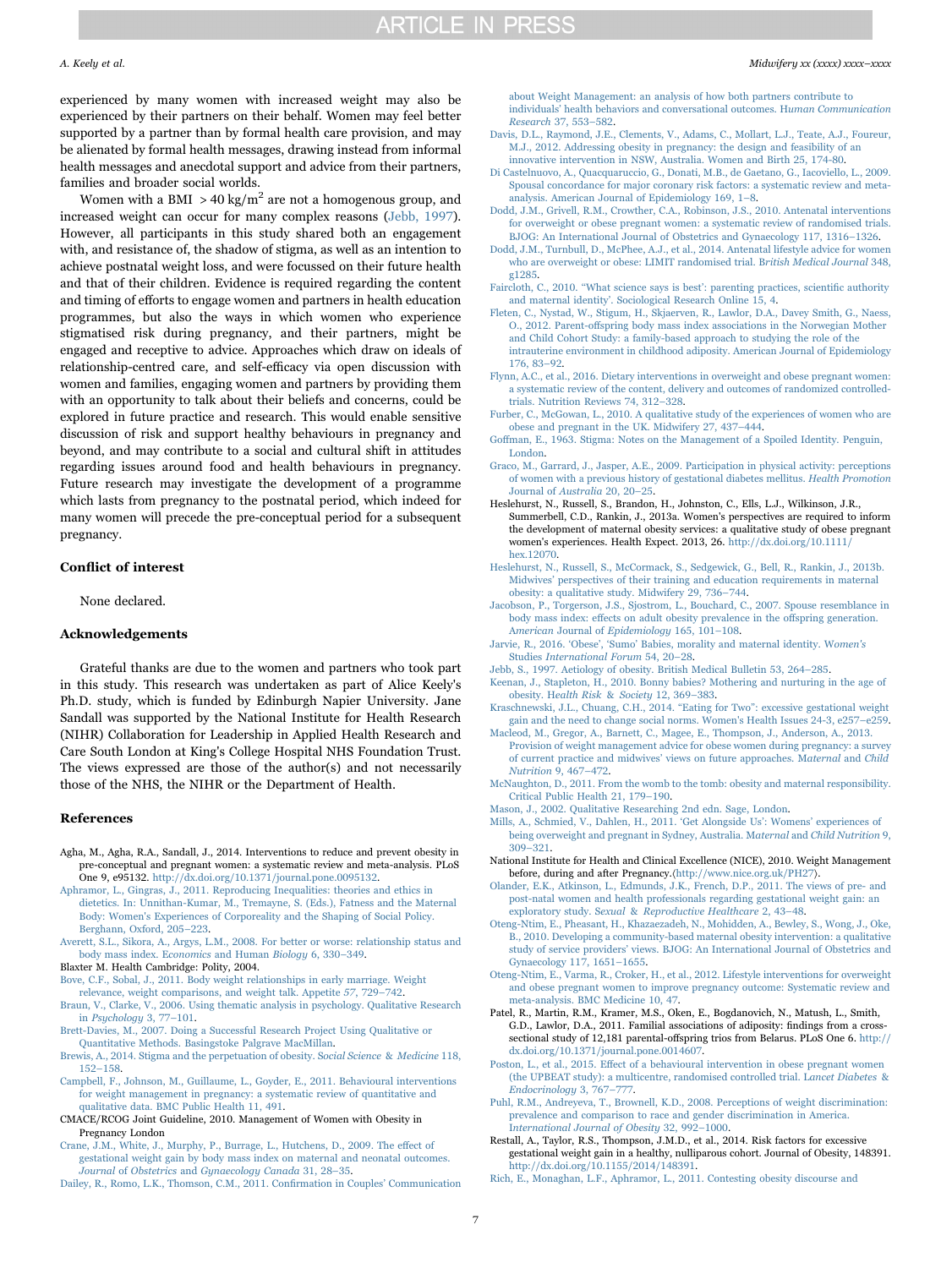experienced by many women with increased weight may also be experienced by their partners on their behalf. Women may feel better supported by a partner than by formal health care provision, and may be alienated by formal health messages, drawing instead from informal health messages and anecdotal support and advice from their partners, families and broader social worlds.

Women with a BMI  $> 40$  kg/m<sup>2</sup> are not a homogenous group, and increased weight can occur for many complex reasons [\(Jebb, 1997\)](#page-6-35). However, all participants in this study shared both an engagement with, and resistance of, the shadow of stigma, as well as an intention to achieve postnatal weight loss, and were focussed on their future health and that of their children. Evidence is required regarding the content and timing of efforts to engage women and partners in health education programmes, but also the ways in which women who experience stigmatised risk during pregnancy, and their partners, might be engaged and receptive to advice. Approaches which draw on ideals of relationship-centred care, and self-efficacy via open discussion with women and families, engaging women and partners by providing them with an opportunity to talk about their beliefs and concerns, could be explored in future practice and research. This would enable sensitive discussion of risk and support healthy behaviours in pregnancy and beyond, and may contribute to a social and cultural shift in attitudes regarding issues around food and health behaviours in pregnancy. Future research may investigate the development of a programme which lasts from pregnancy to the postnatal period, which indeed for many women will precede the pre-conceptual period for a subsequent pregnancy.

#### Conflict of interest

None declared.

#### Acknowledgements

Grateful thanks are due to the women and partners who took part in this study. This research was undertaken as part of Alice Keely's Ph.D. study, which is funded by Edinburgh Napier University. Jane Sandall was supported by the National Institute for Health Research (NIHR) Collaboration for Leadership in Applied Health Research and Care South London at King's College Hospital NHS Foundation Trust. The views expressed are those of the author(s) and not necessarily those of the NHS, the NIHR or the Department of Health.

#### References

- Agha, M., Agha, R.A., Sandall, J., 2014. Interventions to reduce and prevent obesity in pre-conceptual and pregnant women: a systematic review and meta-analysis. PLoS One 9, e95132. <http://dx.doi.org/10.1371/journal.pone.0095132>.
- <span id="page-6-27"></span>[Aphramor, L., Gingras, J., 2011. Reproducing Inequalities: theories and ethics in](http://refhub.elsevier.com/S0266-16)30170-/sbref2) [dietetics. In: Unnithan-Kumar, M., Tremayne, S. \(Eds.\), Fatness and the Maternal](http://refhub.elsevier.com/S0266-16)30170-/sbref2) [Body: Women's Experiences of Corporeality and the Shaping of Social Policy.](http://refhub.elsevier.com/S0266-16)30170-/sbref2) [Berghann, Oxford, 205](http://refhub.elsevier.com/S0266-16)30170-/sbref2)–223.
- <span id="page-6-18"></span>[Averett, S.L., Sikora, A., Argys, L.M., 2008. For better or worse: relationship status and](http://refhub.elsevier.com/S0266-16)30170-/sbref3) [body mass index. E](http://refhub.elsevier.com/S0266-16)30170-/sbref3)conomics and Human Biology 6, 330–349.
- <span id="page-6-23"></span>Blaxter M. Health Cambridge: Polity, 2004.
- <span id="page-6-7"></span>[Bove, C.F., Sobal, J., 2011. Body weight relationships in early marriage. Weight](http://refhub.elsevier.com/S0266-16)30170-/sbref4) [relevance, weight comparisons, and weight talk. Appetite](http://refhub.elsevier.com/S0266-16)30170-/sbref4) 57, 729–742.
- <span id="page-6-14"></span>[Braun, V., Clarke, V., 2006. Using thematic analysis in psychology. Qualitative Research](http://refhub.elsevier.com/S0266-16)30170-/sbref5) in [Psychology](http://refhub.elsevier.com/S0266-16)30170-/sbref5) 3, 77–101.
- <span id="page-6-13"></span>[Brett-Davies, M., 2007. Doing a Successful Research Project Using Qualitative or](http://refhub.elsevier.com/S0266-16)30170-/sbref6) [Quantitative Methods. Basingstoke Palgrave MacMillan](http://refhub.elsevier.com/S0266-16)30170-/sbref6).
- <span id="page-6-25"></span>[Brewis, A., 2014. Stigma and the perpetuation of obesity. S](http://refhub.elsevier.com/S0266-16)30170-/sbref7)ocial Science & Medicine 118, 152–[158](http://refhub.elsevier.com/S0266-16)30170-/sbref7).
- <span id="page-6-5"></span>[Campbell, F., Johnson, M., Guillaume, L., Goyder, E., 2011. Behavioural interventions](http://refhub.elsevier.com/S0266-16)30170-/sbref8) [for weight management in pregnancy: a systematic review of quantitative and](http://refhub.elsevier.com/S0266-16)30170-/sbref8) [qualitative data. BMC Public Health 11, 491.](http://refhub.elsevier.com/S0266-16)30170-/sbref8)
- <span id="page-6-1"></span>CMACE/RCOG Joint Guideline, 2010. Management of Women with Obesity in Pregnancy London
- <span id="page-6-2"></span>[Crane, J.M., White, J., Murphy, P., Burrage, L., Hutchens, D., 2009. The e](http://refhub.elsevier.com/S0266-16)30170-/sbref9)ffect of [gestational weight gain by body mass index on maternal and neonatal outcomes.](http://refhub.elsevier.com/S0266-16)30170-/sbref9) Journal of Obstetrics and [Gynaecology Canada](http://refhub.elsevier.com/S0266-16)30170-/sbref9) 31, 28–35.

<span id="page-6-22"></span>[Dailey, R., Romo, L.K., Thomson, C.M., 2011. Con](http://refhub.elsevier.com/S0266-16)30170-/sbref10)firmation in Couples' Communication

[about Weight Management: an analysis of how both partners contribute to](http://refhub.elsevier.com/S0266-16)30170-/sbref10) individuals' [health behaviors and conversational outcomes. H](http://refhub.elsevier.com/S0266-16)30170-/sbref10)uman Communication [Research](http://refhub.elsevier.com/S0266-16)30170-/sbref10) 37, 553–582.

- <span id="page-6-30"></span>[Davis, D.L., Raymond, J.E., Clements, V., Adams, C., Mollart, L.J., Teate, A.J., Foureur,](http://refhub.elsevier.com/S0266-16)30170-/sbref11) [M.J., 2012. Addressing obesity in pregnancy: the design and feasibility of an](http://refhub.elsevier.com/S0266-16)30170-/sbref11) [innovative intervention in NSW, Australia. Women and Birth 25, 174-80.](http://refhub.elsevier.com/S0266-16)30170-/sbref11)
- [Di Castelnuovo, A., Quacquaruccio, G., Donati, M.B., de Gaetano, G., Iacoviello, L., 2009.](http://refhub.elsevier.com/S0266-16)30170-/sbref12) [Spousal concordance for major coronary risk factors: a systematic review and meta](http://refhub.elsevier.com/S0266-16)30170-/sbref12)[analysis. American Journal of Epidemiology 169, 1](http://refhub.elsevier.com/S0266-16)30170-/sbref12)–8.
- <span id="page-6-3"></span>[Dodd, J.M., Grivell, R.M., Crowther, C.A., Robinson, J.S., 2010. Antenatal interventions](http://refhub.elsevier.com/S0266-16)30170-/sbref13) [for overweight or obese pregnant women: a systematic review of randomised trials.](http://refhub.elsevier.com/S0266-16)30170-/sbref13) [BJOG: An International Journal of Obstetrics and Gynaecology 117, 1316](http://refhub.elsevier.com/S0266-16)30170-/sbref13)–1326.
- <span id="page-6-4"></span>[Dodd, J.M., Turnbull, D., McPhee, A.J., et al., 2014. Antenatal lifestyle advice for women](http://refhub.elsevier.com/S0266-16)30170-/sbref14) [who are overweight or obese: LIMIT randomised trial. B](http://refhub.elsevier.com/S0266-16)30170-/sbref14)ritish Medical Journal 348, [g1285](http://refhub.elsevier.com/S0266-16)30170-/sbref14).
- <span id="page-6-16"></span>Faircloth, C., 2010. "What science says is best'[: parenting practices, scienti](http://refhub.elsevier.com/S0266-16)30170-/sbref15)fic authority and maternal identity'[. Sociological Research Online 15, 4](http://refhub.elsevier.com/S0266-16)30170-/sbref15).
- <span id="page-6-8"></span>[Fleten, C., Nystad, W., Stigum, H., Skjaerven, R., Lawlor, D.A., Davey Smith, G., Naess,](http://refhub.elsevier.com/S0266-16)30170-/sbref16) O., 2012. Parent-off[spring body mass index associations in the Norwegian Mother](http://refhub.elsevier.com/S0266-16)30170-/sbref16) [and Child Cohort Study: a family-based approach to studying the role of the](http://refhub.elsevier.com/S0266-16)30170-/sbref16) [intrauterine environment in childhood adiposity. American Journal of Epidemiology](http://refhub.elsevier.com/S0266-16)30170-/sbref16) [176, 83](http://refhub.elsevier.com/S0266-16)30170-/sbref16)–92.
- <span id="page-6-21"></span>[Flynn, A.C., et al., 2016. Dietary interventions in overweight and obese pregnant women:](http://refhub.elsevier.com/S0266-16)30170-/sbref17) [a systematic review of the content, delivery and outcomes of randomized controlled](http://refhub.elsevier.com/S0266-16)30170-/sbref17)[trials. Nutrition Reviews 74, 312](http://refhub.elsevier.com/S0266-16)30170-/sbref17)–328.
- <span id="page-6-17"></span>[Furber, C., McGowan, L., 2010. A qualitative study of the experiences of women who are](http://refhub.elsevier.com/S0266-16)30170-/sbref18) [obese and pregnant in the UK. Midwifery 27, 437](http://refhub.elsevier.com/S0266-16)30170-/sbref18)–444.
- <span id="page-6-15"></span>Goff[man, E., 1963. Stigma: Notes on the Management of a Spoiled Identity. Penguin,](http://refhub.elsevier.com/S0266-16)30170-/sbref19) [London](http://refhub.elsevier.com/S0266-16)30170-/sbref19).
- <span id="page-6-10"></span>[Graco, M., Garrard, J., Jasper, A.E., 2009. Participation in physical activity: perceptions](http://refhub.elsevier.com/S0266-16)30170-/sbref20) [of women with a previous history of gestational diabetes mellitus.](http://refhub.elsevier.com/S0266-16)30170-/sbref20) Health Promotion [Journal of](http://refhub.elsevier.com/S0266-16)30170-/sbref20) Australia 20, 20–25.
- <span id="page-6-9"></span>Heslehurst, N., Russell, S., Brandon, H., Johnston, C., Ells, L.J., Wilkinson, J.R., Summerbell, C.D., Rankin, J., 2013a. Women's perspectives are required to inform the development of maternal obesity services: a qualitative study of obese pregnant women's experiences. Health Expect. 2013, 26. [http://dx.doi.org/10.1111/](http://dx.doi.org/10.1111/hex.12070) [hex.12070](http://dx.doi.org/10.1111/hex.12070).
- <span id="page-6-31"></span>[Heslehurst, N., Russell, S., McCormack, S., Sedgewick, G., Bell, R., Rankin, J., 2013b.](http://refhub.elsevier.com/S0266-16)30170-/sbref22) Midwives' [perspectives of their training and education requirements in maternal](http://refhub.elsevier.com/S0266-16)30170-/sbref22) [obesity: a qualitative study. Midwifery 29, 736](http://refhub.elsevier.com/S0266-16)30170-/sbref22)–744.
- <span id="page-6-19"></span>[Jacobson, P., Torgerson, J.S., Sjostrom, L., Bouchard, C., 2007. Spouse resemblance in](http://refhub.elsevier.com/S0266-16)30170-/sbref23) body mass index: eff[ects on adult obesity prevalence in the o](http://refhub.elsevier.com/S0266-16)30170-/sbref23)ffspring generation. American Journal of [Epidemiology](http://refhub.elsevier.com/S0266-16)30170-/sbref23) 165, 101–108.
- <span id="page-6-34"></span>Jarvie, R., 2016. 'Obese', 'Sumo' [Babies, morality and maternal identity. W](http://refhub.elsevier.com/S0266-16)30170-/sbref24)omen's Studies [International Forum](http://refhub.elsevier.com/S0266-16)30170-/sbref24) 54, 20–28.
- <span id="page-6-35"></span>[Jebb, S., 1997. Aetiology of obesity. British Medical Bulletin 53, 264](http://refhub.elsevier.com/S0266-16)30170-/sbref25)–285.
- <span id="page-6-33"></span>[Keenan, J., Stapleton, H., 2010. Bonny babies? Mothering and nurturing in the age of](http://refhub.elsevier.com/S0266-16)30170-/sbref26) obesity. H[ealth Risk](http://refhub.elsevier.com/S0266-16)30170-/sbref26) & Society 12, 369–383.
- <span id="page-6-11"></span>Kraschnewski, J.L., Chuang, C.H., 2014. "Eating for Two"[: excessive gestational weight](http://refhub.elsevier.com/S0266-16)30170-/sbref27) [gain and the need to change social norms. Women's Health Issues 24-3, e257](http://refhub.elsevier.com/S0266-16)30170-/sbref27)–e259.
- <span id="page-6-32"></span>[Macleod, M., Gregor, A., Barnett, C., Magee, E., Thompson, J., Anderson, A., 2013.](http://refhub.elsevier.com/S0266-16)30170-/sbref28) [Provision of weight management advice for obese women during pregnancy: a survey](http://refhub.elsevier.com/S0266-16)30170-/sbref28) [of current practice and midwives](http://refhub.elsevier.com/S0266-16)30170-/sbref28)' views on future approaches. Maternal and Child [Nutrition](http://refhub.elsevier.com/S0266-16)30170-/sbref28) 9, 467–472.
- [McNaughton, D., 2011. From the womb to the tomb: obesity and maternal responsibility.](http://refhub.elsevier.com/S0266-16)30170-/sbref29) [Critical Public Health 21, 179](http://refhub.elsevier.com/S0266-16)30170-/sbref29)–190.
- <span id="page-6-12"></span>[Mason, J., 2002. Qualitative Researching 2nd edn. Sage, London](http://refhub.elsevier.com/S0266-16)30170-/sbref30).
- [Mills, A., Schmied, V., Dahlen, H., 2011.](http://refhub.elsevier.com/S0266-16)30170-/sbref31) 'Get Alongside Us': Womens' experiences of [being overweight and pregnant in Sydney, Australia. M](http://refhub.elsevier.com/S0266-16)30170-/sbref31)aternal and Child Nutrition 9, 309–[321](http://refhub.elsevier.com/S0266-16)30170-/sbref31).
- <span id="page-6-20"></span>National Institute for Health and Clinical Excellence (NICE), 2010. Weight Management before, during and after Pregnancy.〈<http://www.nice.org.uk/PH27>〉.
- <span id="page-6-28"></span>[Olander, E.K., Atkinson, L., Edmunds, J.K., French, D.P., 2011. The views of pre- and](http://refhub.elsevier.com/S0266-16)30170-/sbref32) [post-natal women and health professionals regarding gestational weight gain: an](http://refhub.elsevier.com/S0266-16)30170-/sbref32) exploratory study. Sexual & [Reproductive Healthcare](http://refhub.elsevier.com/S0266-16)30170-/sbref32) 2, 43–48.
- <span id="page-6-29"></span>[Oteng-Ntim, E., Pheasant, H., Khazaezadeh, N., Mohidden, A., Bewley, S., Wong, J., Oke,](http://refhub.elsevier.com/S0266-16)30170-/sbref33) [B., 2010. Developing a community-based maternal obesity intervention: a qualitative](http://refhub.elsevier.com/S0266-16)30170-/sbref33) study of service providers' [views. BJOG: An International Journal of Obstetrics and](http://refhub.elsevier.com/S0266-16)30170-/sbref33) [Gynaecology 117, 1651](http://refhub.elsevier.com/S0266-16)30170-/sbref33)–1655.
- <span id="page-6-6"></span>[Oteng-Ntim, E., Varma, R., Croker, H., et al., 2012. Lifestyle interventions for overweight](http://refhub.elsevier.com/S0266-16)30170-/sbref34) [and obese pregnant women to improve pregnancy outcome: Systematic review and](http://refhub.elsevier.com/S0266-16)30170-/sbref34) [meta-analysis. BMC Medicine 10, 47](http://refhub.elsevier.com/S0266-16)30170-/sbref34).
- Patel, R., Martin, R.M., Kramer, M.S., Oken, E., Bogdanovich, N., Matush, L., Smith, G.D., Lawlor, D.A., 2011. Familial associations of adiposity: findings from a crosssectional study of 12,181 parental-offspring trios from Belarus. PLoS One 6. [http://](http://dx.doi.org/10.1371/journal.pone.0014607) [dx.doi.org/10.1371/journal.pone.0014607](http://dx.doi.org/10.1371/journal.pone.0014607).
- Poston, L., et al., 2015. Eff[ect of a behavioural intervention in obese pregnant women](http://refhub.elsevier.com/S0266-16)30170-/sbref36) [\(the UPBEAT study\): a multicentre, randomised controlled trial. L](http://refhub.elsevier.com/S0266-16)30170-/sbref36)ancet Diabetes & [Endocrinology](http://refhub.elsevier.com/S0266-16)30170-/sbref36) 3, 767–777.
- <span id="page-6-24"></span>[Puhl, R.M., Andreyeva, T., Brownell, K.D., 2008. Perceptions of weight discrimination:](http://refhub.elsevier.com/S0266-16)30170-/sbref37) [prevalence and comparison to race and gender discrimination in America.](http://refhub.elsevier.com/S0266-16)30170-/sbref37) I[nternational Journal of Obesity](http://refhub.elsevier.com/S0266-16)30170-/sbref37) 32, 992–1000.
- <span id="page-6-0"></span>Restall, A., Taylor, R.S., Thompson, J.M.D., et al., 2014. Risk factors for excessive gestational weight gain in a healthy, nulliparous cohort. Journal of Obesity, 148391. <http://dx.doi.org/10.1155/2014/148391>.
- <span id="page-6-26"></span>[Rich, E., Monaghan, L.F., Aphramor, L., 2011. Contesting obesity discourse and](http://refhub.elsevier.com/S0266-16)30170-/sbref39)